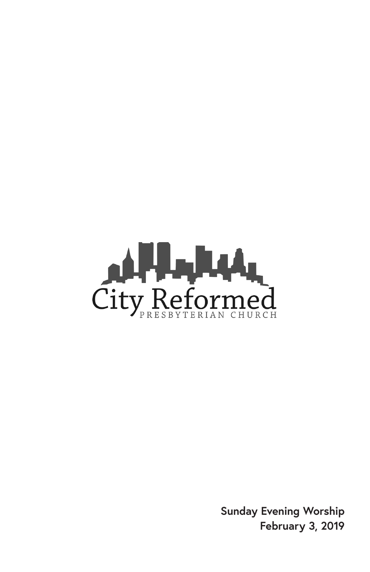

**Sunday Evening Worship February 3, 2019**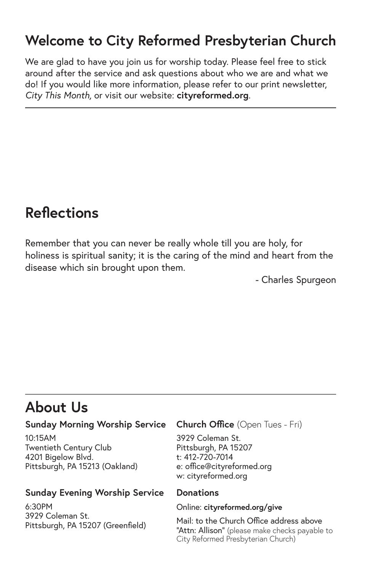#### **Welcome to City Reformed Presbyterian Church**

We are glad to have you join us for worship today. Please feel free to stick around after the service and ask questions about who we are and what we do! If you would like more information, please refer to our print newsletter, *City This Month,* or visit our website: **cityreformed.org**.

### **Reflections**

Remember that you can never be really whole till you are holy, for holiness is spiritual sanity; it is the caring of the mind and heart from the disease which sin brought upon them.

- Charles Spurgeon

#### **About Us**

#### **Sunday Morning Worship Service**

10:15AM Twentieth Century Club 4201 Bigelow Blvd. Pittsburgh, PA 15213 (Oakland)

#### **Sunday Evening Worship Service**

6:30PM 3929 Coleman St. Pittsburgh, PA 15207 (Greenfield)

#### **Church Office** (Open Tues - Fri)

3929 Coleman St. Pittsburgh, PA 15207 t: 412-720-7014 e: office@cityreformed.org w: cityreformed.org

#### **Donations**

#### Online: **cityreformed.org/give**

Mail: to the Church Office address above "Attn: Allison" (please make checks payable to City Reformed Presbyterian Church)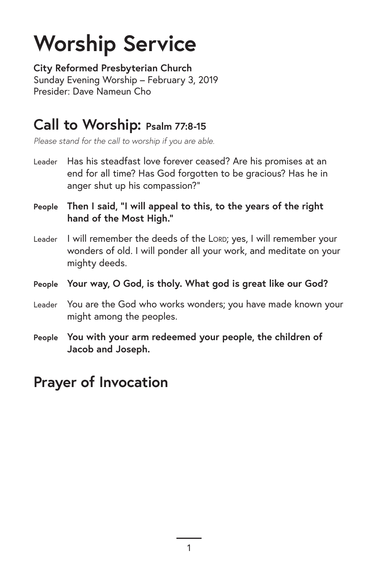# **Worship Service**

**City Reformed Presbyterian Church** Sunday Evening Worship – February 3, 2019 Presider: Dave Nameun Cho

#### **Call to Worship: Psalm 77:8-15**

*Please stand for the call to worship if you are able.*

- Leader Has his steadfast love forever ceased? Are his promises at an end for all time? Has God forgotten to be gracious? Has he in anger shut up his compassion?"
- **People Then I said, "I will appeal to this, to the years of the right hand of the Most High."**
- Leader I will remember the deeds of the LORD; yes, I will remember your wonders of old. I will ponder all your work, and meditate on your mighty deeds.
- **People Your way, O God, is tholy. What god is great like our God?**
- Leader You are the God who works wonders; you have made known your might among the peoples.
- **People You with your arm redeemed your people, the children of Jacob and Joseph.**

#### **Prayer of Invocation**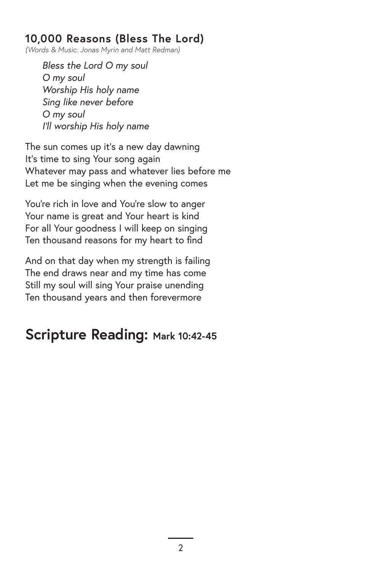#### **10,000 Reasons (Bless The Lord)**

*(Words & Music: Jonas Myrin and Matt Redman)*

*Bless the Lord O my soul O my soul Worship His holy name Sing like never before O my soul I'll worship His holy name*

The sun comes up it's a new day dawning It's time to sing Your song again Whatever may pass and whatever lies before me Let me be singing when the evening comes

You're rich in love and You're slow to anger Your name is great and Your heart is kind For all Your goodness I will keep on singing Ten thousand reasons for my heart to find

And on that day when my strength is failing The end draws near and my time has come Still my soul will sing Your praise unending Ten thousand years and then forevermore

#### **Scripture Reading: Mark 10:42-45**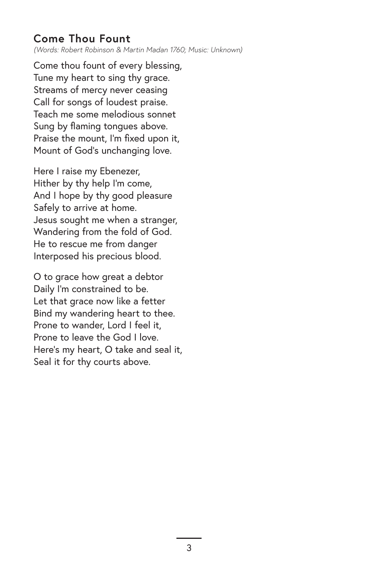#### **Come Thou Fount**

*(Words: Robert Robinson & Martin Madan 1760; Music: Unknown)*

Come thou fount of every blessing, Tune my heart to sing thy grace. Streams of mercy never ceasing Call for songs of loudest praise. Teach me some melodious sonnet Sung by flaming tongues above. Praise the mount, I'm fixed upon it, Mount of God's unchanging love.

Here I raise my Ebenezer, Hither by thy help I'm come, And I hope by thy good pleasure Safely to arrive at home. Jesus sought me when a stranger, Wandering from the fold of God. He to rescue me from danger Interposed his precious blood.

O to grace how great a debtor Daily I'm constrained to be. Let that grace now like a fetter Bind my wandering heart to thee. Prone to wander, Lord I feel it, Prone to leave the God I love. Here's my heart, O take and seal it, Seal it for thy courts above.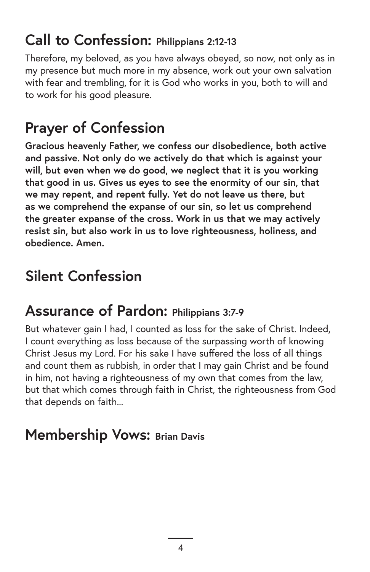### **Call to Confession: Philippians 2:12-13**

Therefore, my beloved, as you have always obeyed, so now, not only as in my presence but much more in my absence, work out your own salvation with fear and trembling, for it is God who works in you, both to will and to work for his good pleasure.

## **Prayer of Confession**

**Gracious heavenly Father, we confess our disobedience, both active and passive. Not only do we actively do that which is against your will, but even when we do good, we neglect that it is you working that good in us. Gives us eyes to see the enormity of our sin, that we may repent, and repent fully. Yet do not leave us there, but as we comprehend the expanse of our sin, so let us comprehend the greater expanse of the cross. Work in us that we may actively resist sin, but also work in us to love righteousness, holiness, and obedience. Amen.** 

# **Silent Confession**

#### **Assurance of Pardon: Philippians 3:7-9**

But whatever gain I had, I counted as loss for the sake of Christ. Indeed, I count everything as loss because of the surpassing worth of knowing Christ Jesus my Lord. For his sake I have suffered the loss of all things and count them as rubbish, in order that I may gain Christ and be found in him, not having a righteousness of my own that comes from the law, but that which comes through faith in Christ, the righteousness from God that depends on faith...

#### **Membership Vows: Brian Davis**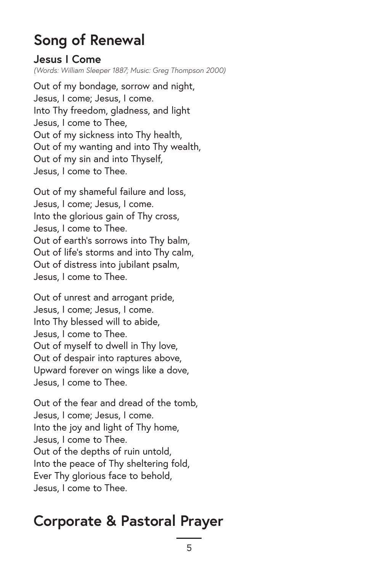### **Song of Renewal**

**Jesus I Come**  *(Words: William Sleeper 1887; Music: Greg Thompson 2000)*

Out of my bondage, sorrow and night, Jesus, I come; Jesus, I come. Into Thy freedom, gladness, and light Jesus, I come to Thee, Out of my sickness into Thy health, Out of my wanting and into Thy wealth, Out of my sin and into Thyself, Jesus, I come to Thee.

Out of my shameful failure and loss, Jesus, I come; Jesus, I come. Into the glorious gain of Thy cross, Jesus, I come to Thee. Out of earth's sorrows into Thy balm, Out of life's storms and into Thy calm, Out of distress into jubilant psalm, Jesus, I come to Thee.

Out of unrest and arrogant pride, Jesus, I come; Jesus, I come. Into Thy blessed will to abide, Jesus, I come to Thee. Out of myself to dwell in Thy love, Out of despair into raptures above, Upward forever on wings like a dove, Jesus, I come to Thee.

Out of the fear and dread of the tomb, Jesus, I come; Jesus, I come. Into the joy and light of Thy home, Jesus, I come to Thee. Out of the depths of ruin untold, Into the peace of Thy sheltering fold, Ever Thy glorious face to behold, Jesus, I come to Thee.

## **Corporate & Pastoral Prayer**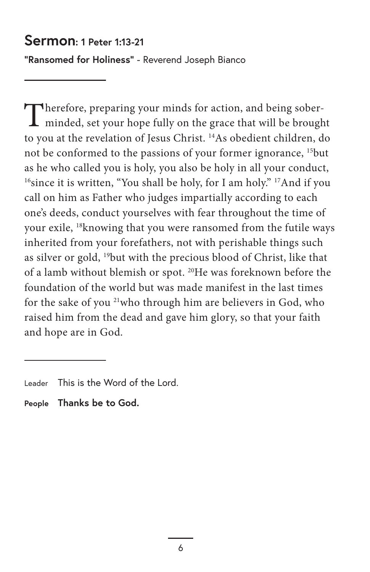#### **Sermon: 1 Peter 1:13-21**

**"Ransomed for Holiness"** - Reverend Joseph Bianco

Therefore, preparing your minds for action, and being sober-**1** minded, set your hope fully on the grace that will be brought to you at the revelation of Jesus Christ. 14As obedient children, do not be conformed to the passions of your former ignorance, 15but as he who called you is holy, you also be holy in all your conduct, <sup>16</sup>since it is written, "You shall be holy, for I am holy."<sup>17</sup>And if you call on him as Father who judges impartially according to each one's deeds, conduct yourselves with fear throughout the time of your exile, 18knowing that you were ransomed from the futile ways inherited from your forefathers, not with perishable things such as silver or gold, 19but with the precious blood of Christ, like that of a lamb without blemish or spot. 20He was foreknown before the foundation of the world but was made manifest in the last times for the sake of you <sup>21</sup>who through him are believers in God, who raised him from the dead and gave him glory, so that your faith and hope are in God.

Leader This is the Word of the Lord.

**People Thanks be to God.**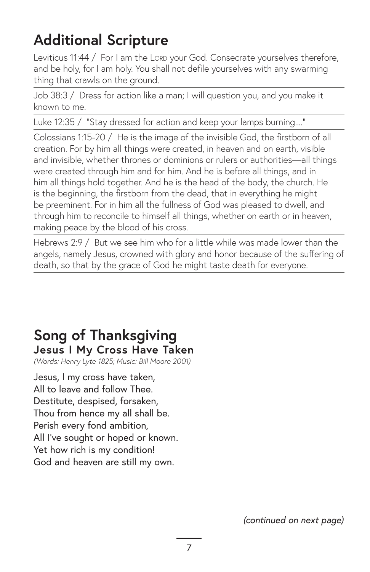# **Additional Scripture**

Leviticus 11:44 / For I am the Lord your God. Consecrate yourselves therefore, and be holy, for I am holy. You shall not defile yourselves with any swarming thing that crawls on the ground.

Job 38:3 / Dress for action like a man; I will question you, and you make it known to me.

Luke 12:35 / "Stay dressed for action and keep your lamps burning...."

Colossians 1:15-20 / He is the image of the invisible God, the firstborn of all creation. For by him all things were created, in heaven and on earth, visible and invisible, whether thrones or dominions or rulers or authorities—all things were created through him and for him. And he is before all things, and in him all things hold together. And he is the head of the body, the church. He is the beginning, the firstborn from the dead, that in everything he might be preeminent. For in him all the fullness of God was pleased to dwell, and through him to reconcile to himself all things, whether on earth or in heaven, making peace by the blood of his cross.

Hebrews 2:9 / But we see him who for a little while was made lower than the angels, namely Jesus, crowned with glory and honor because of the suffering of death, so that by the grace of God he might taste death for everyone.

#### **Song of Thanksgiving Jesus I My Cross Have Taken**

*(Words: Henry Lyte 1825; Music: Bill Moore 2001)*

Jesus, I my cross have taken, All to leave and follow Thee. Destitute, despised, forsaken, Thou from hence my all shall be. Perish every fond ambition, All I've sought or hoped or known. Yet how rich is my condition! God and heaven are still my own.

*(continued on next page)*